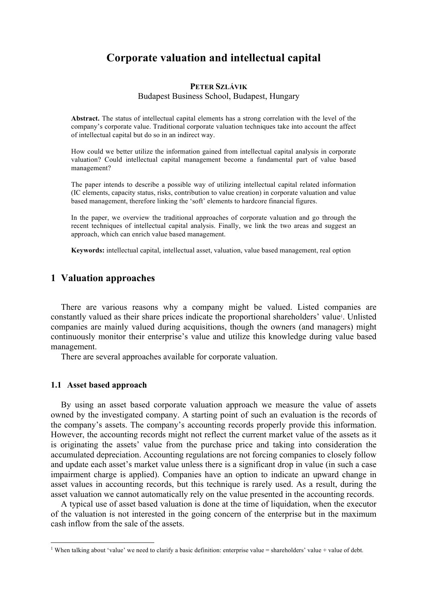# **Corporate valuation and intellectual capital**

#### **PETER SZLÁVIK**

Budapest Business School, Budapest, Hungary

**Abstract.** The status of intellectual capital elements has a strong correlation with the level of the company's corporate value. Traditional corporate valuation techniques take into account the affect of intellectual capital but do so in an indirect way.

How could we better utilize the information gained from intellectual capital analysis in corporate valuation? Could intellectual capital management become a fundamental part of value based management?

The paper intends to describe a possible way of utilizing intellectual capital related information (IC elements, capacity status, risks, contribution to value creation) in corporate valuation and value based management, therefore linking the 'soft' elements to hardcore financial figures.

In the paper, we overview the traditional approaches of corporate valuation and go through the recent techniques of intellectual capital analysis. Finally, we link the two areas and suggest an approach, which can enrich value based management.

**Keywords:** intellectual capital, intellectual asset, valuation, value based management, real option

# **1 Valuation approaches**

There are various reasons why a company might be valued. Listed companies are constantly valued as their share prices indicate the proportional shareholders' value<sup>1</sup>. Unlisted companies are mainly valued during acquisitions, though the owners (and managers) might continuously monitor their enterprise's value and utilize this knowledge during value based management.

There are several approaches available for corporate valuation.

## **1.1 Asset based approach**

By using an asset based corporate valuation approach we measure the value of assets owned by the investigated company. A starting point of such an evaluation is the records of the company's assets. The company's accounting records properly provide this information. However, the accounting records might not reflect the current market value of the assets as it is originating the assets' value from the purchase price and taking into consideration the accumulated depreciation. Accounting regulations are not forcing companies to closely follow and update each asset's market value unless there is a significant drop in value (in such a case impairment charge is applied). Companies have an option to indicate an upward change in asset values in accounting records, but this technique is rarely used. As a result, during the asset valuation we cannot automatically rely on the value presented in the accounting records.

A typical use of asset based valuation is done at the time of liquidation, when the executor of the valuation is not interested in the going concern of the enterprise but in the maximum cash inflow from the sale of the assets.

<sup>|&</sup>lt;br>|<br>| <sup>1</sup> When talking about 'value' we need to clarify a basic definition: enterprise value = shareholders' value + value of debt.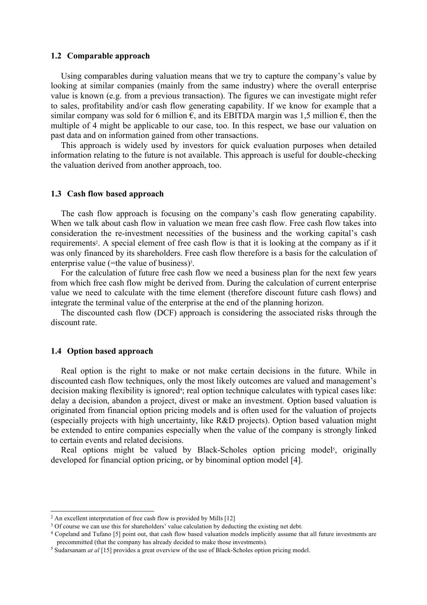#### **1.2 Comparable approach**

Using comparables during valuation means that we try to capture the company's value by looking at similar companies (mainly from the same industry) where the overall enterprise value is known (e.g. from a previous transaction). The figures we can investigate might refer to sales, profitability and/or cash flow generating capability. If we know for example that a similar company was sold for 6 million  $\epsilon$ , and its EBITDA margin was 1,5 million  $\epsilon$ , then the multiple of 4 might be applicable to our case, too. In this respect, we base our valuation on past data and on information gained from other transactions.

This approach is widely used by investors for quick evaluation purposes when detailed information relating to the future is not available. This approach is useful for double-checking the valuation derived from another approach, too.

## **1.3 Cash flow based approach**

The cash flow approach is focusing on the company's cash flow generating capability. When we talk about cash flow in valuation we mean free cash flow. Free cash flow takes into consideration the re-investment necessities of the business and the working capital's cash requirements<sup>2</sup>. A special element of free cash flow is that it is looking at the company as if it was only financed by its shareholders. Free cash flow therefore is a basis for the calculation of enterprise value (=the value of business)<sup>3</sup>.

For the calculation of future free cash flow we need a business plan for the next few years from which free cash flow might be derived from. During the calculation of current enterprise value we need to calculate with the time element (therefore discount future cash flows) and integrate the terminal value of the enterprise at the end of the planning horizon.

The discounted cash flow (DCF) approach is considering the associated risks through the discount rate.

## **1.4 Option based approach**

Real option is the right to make or not make certain decisions in the future. While in discounted cash flow techniques, only the most likely outcomes are valued and management's decision making flexibility is ignored<sup>4</sup>; real option technique calculates with typical cases like: delay a decision, abandon a project, divest or make an investment. Option based valuation is originated from financial option pricing models and is often used for the valuation of projects (especially projects with high uncertainty, like R&D projects). Option based valuation might be extended to entire companies especially when the value of the company is strongly linked to certain events and related decisions.

Real options might be valued by Black-Scholes option pricing model<sup>5</sup>, originally developed for financial option pricing, or by binominal option model [4].

 $\overline{2}$ <sup>2</sup> An excellent interpretation of free cash flow is provided by Mills [12]

<sup>&</sup>lt;sup>3</sup> Of course we can use this for shareholders' value calculation by deducting the existing net debt.

<sup>4</sup> Copeland and Tufano [5] point out, that cash flow based valuation models implicitly assume that all future investments are precommitted (that the company has already decided to make those investments).

<sup>5</sup> Sudarsanam *at al* [15] provides a great overview of the use of Black-Scholes option pricing model.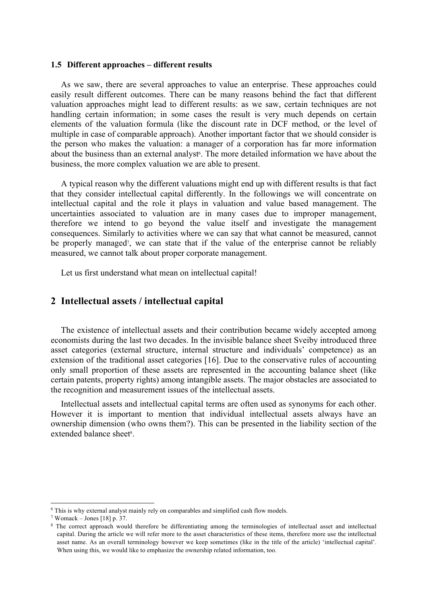#### **1.5 Different approaches – different results**

As we saw, there are several approaches to value an enterprise. These approaches could easily result different outcomes. There can be many reasons behind the fact that different valuation approaches might lead to different results: as we saw, certain techniques are not handling certain information; in some cases the result is very much depends on certain elements of the valuation formula (like the discount rate in DCF method, or the level of multiple in case of comparable approach). Another important factor that we should consider is the person who makes the valuation: a manager of a corporation has far more information about the business than an external analyst<sup>6</sup>. The more detailed information we have about the business, the more complex valuation we are able to present.

A typical reason why the different valuations might end up with different results is that fact that they consider intellectual capital differently. In the followings we will concentrate on intellectual capital and the role it plays in valuation and value based management. The uncertainties associated to valuation are in many cases due to improper management, therefore we intend to go beyond the value itself and investigate the management consequences. Similarly to activities where we can say that what cannot be measured, cannot be properly managed<sup>7</sup>, we can state that if the value of the enterprise cannot be reliably measured, we cannot talk about proper corporate management.

Let us first understand what mean on intellectual capital!

# **2 Intellectual assets / intellectual capital**

The existence of intellectual assets and their contribution became widely accepted among economists during the last two decades. In the invisible balance sheet Sveiby introduced three asset categories (external structure, internal structure and individuals' competence) as an extension of the traditional asset categories [16]. Due to the conservative rules of accounting only small proportion of these assets are represented in the accounting balance sheet (like certain patents, property rights) among intangible assets. The major obstacles are associated to the recognition and measurement issues of the intellectual assets.

Intellectual assets and intellectual capital terms are often used as synonyms for each other. However it is important to mention that individual intellectual assets always have an ownership dimension (who owns them?). This can be presented in the liability section of the extended balance sheet<sup>8</sup>.

 <sup>6</sup> This is why external analyst mainly rely on comparables and simplified cash flow models.

<sup>7</sup> Womack – Jones [18] p. 37.

<sup>&</sup>lt;sup>8</sup> The correct approach would therefore be differentiating among the terminologies of intellectual asset and intellectual capital. During the article we will refer more to the asset characteristics of these items, therefore more use the intellectual asset name. As an overall terminology however we keep sometimes (like in the title of the article) 'intellectual capital'. When using this, we would like to emphasize the ownership related information, too.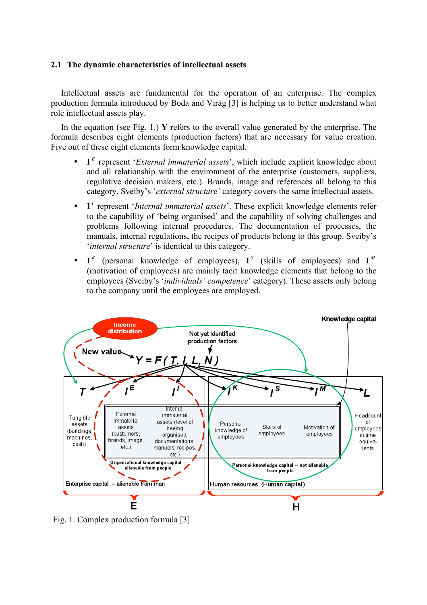# **2.1 The dynamic characteristics of intellectual assets**

Intellectual assets are fundamental for the operation of an enterprise. The complex production formula introduced by Boda and Virág [3] is helping us to better understand what role intellectual assets play.

In the equation (see Fig. 1.) **Y** refers to the overall value generated by the enterprise. The formula describes eight elements (production factors) that are necessary for value creation. Five out of these eight elements form knowledge capital.

- **I** *<sup>E</sup>* represent '*External immaterial assets*', which include explicit knowledge about and all relationship with the environment of the enterprise (customers, suppliers, regulative decision makers, etc.). Brands, image and references all belong to this category. Sveiby's '*external structure'* category covers the same intellectual assets.
- **I** *<sup>I</sup>* represent '*Internal immaterial assets*'. These explicit knowledge elements refer to the capability of 'being organised' and the capability of solving challenges and problems following internal procedures. The documentation of processes, the manuals, internal regulations, the recipes of products belong to this group. Sveiby's '*internal structure*' is identical to this category.
- **I** K (personal knowledge of employees),  $I^S$  (skills of employees) and  $I^M$  $\ddot{\phantom{0}}$ (motivation of employees) are mainly tacit knowledge elements that belong to the employees (Sveiby's '*individuals' competence*' category). These assets only belong to the company until the employees are employed.



Fig. 1. Complex production formula [3]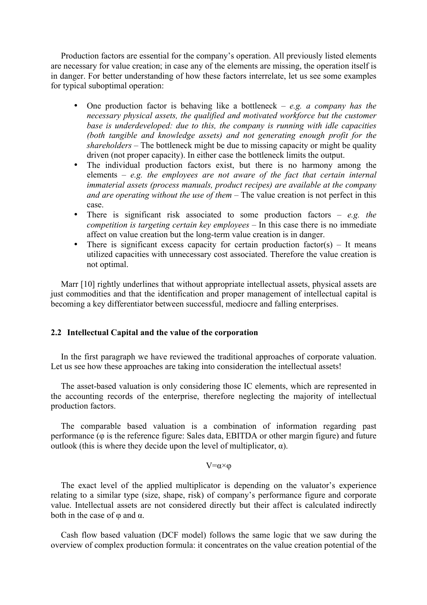Production factors are essential for the company's operation. All previously listed elements are necessary for value creation; in case any of the elements are missing, the operation itself is in danger. For better understanding of how these factors interrelate, let us see some examples for typical suboptimal operation:

- One production factor is behaving like a bottleneck *e.g. a company has the necessary physical assets, the qualified and motivated workforce but the customer base is underdeveloped: due to this, the company is running with idle capacities (both tangible and knowledge assets) and not generating enough profit for the shareholders –* The bottleneck might be due to missing capacity or might be quality driven (not proper capacity). In either case the bottleneck limits the output.
- The individual production factors exist, but there is no harmony among the elements – *e.g. the employees are not aware of the fact that certain internal immaterial assets (process manuals, product recipes) are available at the company and are operating without the use of them –* The value creation is not perfect in this case.
- There is significant risk associated to some production factors *e.g. the competition is targeting certain key employees –* In this case there is no immediate affect on value creation but the long-term value creation is in danger.
- There is significant excess capacity for certain production factor(s)  $-$  It means utilized capacities with unnecessary cost associated. Therefore the value creation is not optimal.

Marr [10] rightly underlines that without appropriate intellectual assets, physical assets are just commodities and that the identification and proper management of intellectual capital is becoming a key differentiator between successful, mediocre and falling enterprises.

# **2.2 Intellectual Capital and the value of the corporation**

In the first paragraph we have reviewed the traditional approaches of corporate valuation. Let us see how these approaches are taking into consideration the intellectual assets!

The asset-based valuation is only considering those IC elements, which are represented in the accounting records of the enterprise, therefore neglecting the majority of intellectual production factors.

The comparable based valuation is a combination of information regarding past performance (φ is the reference figure: Sales data, EBITDA or other margin figure) and future outlook (this is where they decide upon the level of multiplicator, α).

#### $V = \alpha \times ω$

The exact level of the applied multiplicator is depending on the valuator's experience relating to a similar type (size, shape, risk) of company's performance figure and corporate value. Intellectual assets are not considered directly but their affect is calculated indirectly both in the case of  $\varphi$  and  $\alpha$ .

Cash flow based valuation (DCF model) follows the same logic that we saw during the overview of complex production formula: it concentrates on the value creation potential of the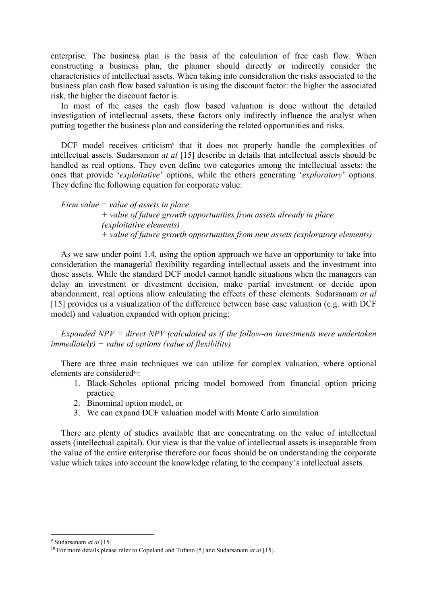enterprise. The business plan is the basis of the calculation of free cash flow. When constructing a business plan, the planner should directly or indirectly consider the characteristics of intellectual assets. When taking into consideration the risks associated to the business plan cash flow based valuation is using the discount factor: the higher the associated risk, the higher the discount factor is.

In most of the cases the cash flow based valuation is done without the detailed investigation of intellectual assets, these factors only indirectly influence the analyst when putting together the business plan and considering the related opportunities and risks.

DCF model receives criticism<sup>9</sup> that it does not properly handle the complexities of intellectual assets. Sudarsanam *at al* [15] describe in details that intellectual assets should be handled as real options. They even define two categories among the intellectual assets: the ones that provide '*exploitative*' options, while the others generating '*exploratory*' options. They define the following equation for corporate value:

*Firm value = value of assets in place*

*+ value of future growth opportunities from assets already in place (exploitative elements) + value of future growth opportunities from new assets (exploratory elements)*

As we saw under point 1.4, using the option approach we have an opportunity to take into consideration the managerial flexibility regarding intellectual assets and the investment into those assets. While the standard DCF model cannot handle situations when the managers can delay an investment or divestment decision, make partial investment or decide upon abandonment, real options allow calculating the effects of these elements. Sudarsanam *at al* [15] provides us a visualization of the difference between base case valuation (e.g. with DCF model) and valuation expanded with option pricing:

*Expanded NPV = direct NPV (calculated as if the follow-on investments were undertaken immediately) + value of options (value of flexibility)*

There are three main techniques we can utilize for complex valuation, where optional elements are considered10:

- 1. Black-Scholes optional pricing model borrowed from financial option pricing practice
- 2. Binominal option model, or
- 3. We can expand DCF valuation model with Monte Carlo simulation

There are plenty of studies available that are concentrating on the value of intellectual assets (intellectual capital). Our view is that the value of intellectual assets is inseparable from the value of the entire enterprise therefore our focus should be on understanding the corporate value which takes into account the knowledge relating to the company's intellectual assets.

<sup>-&</sup>lt;br>9 Sudarsanam *at al* [15]

<sup>10</sup> For more details please refer to Copeland and Tufano [5] and Sudarsanam *at al* [15].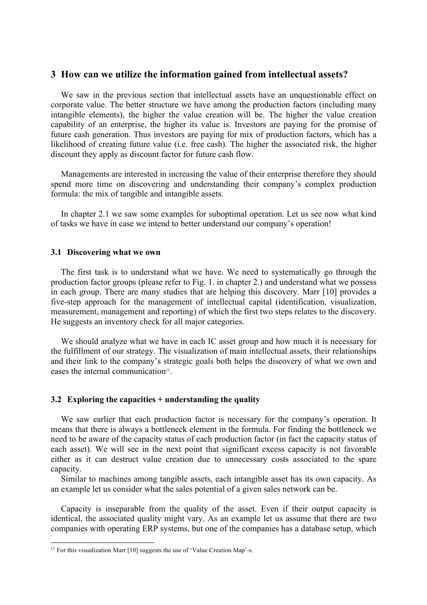# **3 How can we utilize the information gained from intellectual assets?**

We saw in the previous section that intellectual assets have an unquestionable effect on corporate value. The better structure we have among the production factors (including many intangible elements), the higher the value creation will be. The higher the value creation capability of an enterprise, the higher its value is. Investors are paying for the promise of future cash generation. Thus investors are paying for mix of production factors, which has a likelihood of creating future value (i.e. free cash). The higher the associated risk, the higher discount they apply as discount factor for future cash flow.

Managements are interested in increasing the value of their enterprise therefore they should spend more time on discovering and understanding their company's complex production formula: the mix of tangible and intangible assets.

In chapter 2.1 we saw some examples for suboptimal operation. Let us see now what kind of tasks we have in case we intend to better understand our company's operation!

### **3.1 Discovering what we own**

The first task is to understand what we have. We need to systematically go through the production factor groups (please refer to Fig. 1. in chapter 2.) and understand what we possess in each group. There are many studies that are helping this discovery. Marr [10] provides a five-step approach for the management of intellectual capital (identification, visualization, measurement, management and reporting) of which the first two steps relates to the discovery. He suggests an inventory check for all major categories.

We should analyze what we have in each IC asset group and how much it is necessary for the fulfillment of our strategy. The visualization of main intellectual assets, their relationships and their link to the company's strategic goals both helps the discovery of what we own and eases the internal communication<sup>11</sup>.

## **3.2 Exploring the capacities + understanding the quality**

We saw earlier that each production factor is necessary for the company's operation. It means that there is always a bottleneck element in the formula. For finding the bottleneck we need to be aware of the capacity status of each production factor (in fact the capacity status of each asset). We will see in the next point that significant excess capacity is not favorable either as it can destruct value creation due to unnecessary costs associated to the spare capacity.

Similar to machines among tangible assets, each intangible asset has its own capacity. As an example let us consider what the sales potential of a given sales network can be.

Capacity is inseparable from the quality of the asset. Even if their output capacity is identical, the associated quality might vary. As an example let us assume that there are two companies with operating ERP systems, but one of the companies has a database setup, which

<sup>&</sup>lt;sup>11</sup> For this visualization Marr [10] suggests the use of 'Value Creation Map'-s.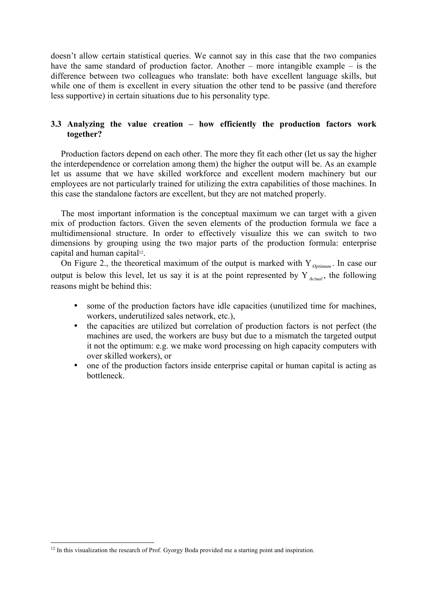doesn't allow certain statistical queries. We cannot say in this case that the two companies have the same standard of production factor. Another – more intangible example – is the difference between two colleagues who translate: both have excellent language skills, but while one of them is excellent in every situation the other tend to be passive (and therefore less supportive) in certain situations due to his personality type.

# **3.3 Analyzing the value creation – how efficiently the production factors work together?**

Production factors depend on each other. The more they fit each other (let us say the higher the interdependence or correlation among them) the higher the output will be. As an example let us assume that we have skilled workforce and excellent modern machinery but our employees are not particularly trained for utilizing the extra capabilities of those machines. In this case the standalone factors are excellent, but they are not matched properly.

The most important information is the conceptual maximum we can target with a given mix of production factors. Given the seven elements of the production formula we face a multidimensional structure. In order to effectively visualize this we can switch to two dimensions by grouping using the two major parts of the production formula: enterprise capital and human capital<sup>12</sup>.

On Figure 2., the theoretical maximum of the output is marked with Y *Optimum* . In case our output is below this level, let us say it is at the point represented by Y<sub>Actual</sub>, the following reasons might be behind this:

- some of the production factors have idle capacities (unutilized time for machines, workers, underutilized sales network, etc.),
- the capacities are utilized but correlation of production factors is not perfect (the machines are used, the workers are busy but due to a mismatch the targeted output it not the optimum: e.g. we make word processing on high capacity computers with over skilled workers), or
- one of the production factors inside enterprise capital or human capital is acting as bottleneck.

<sup>&</sup>lt;sup>12</sup> In this visualization the research of Prof. Gyorgy Boda provided me a starting point and inspiration.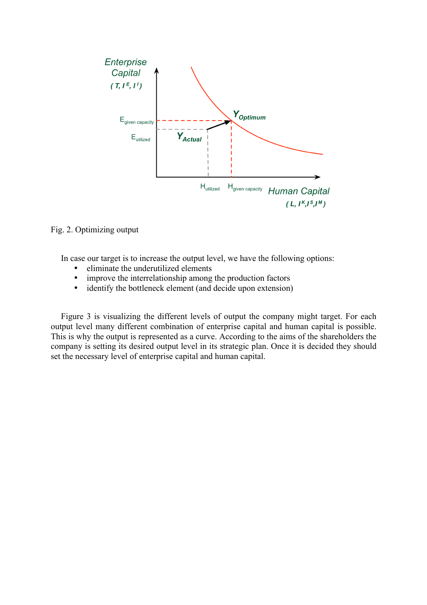

Fig. 2. Optimizing output

In case our target is to increase the output level, we have the following options:

- eliminate the underutilized elements<br>• improve the interrelationship among
- improve the interrelationship among the production factors<br>• identify the bottleneck element (and decide upon extension)
- identify the bottleneck element (and decide upon extension)

Figure 3 is visualizing the different levels of output the company might target. For each output level many different combination of enterprise capital and human capital is possible. This is why the output is represented as a curve. According to the aims of the shareholders the company is setting its desired output level in its strategic plan. Once it is decided they should set the necessary level of enterprise capital and human capital.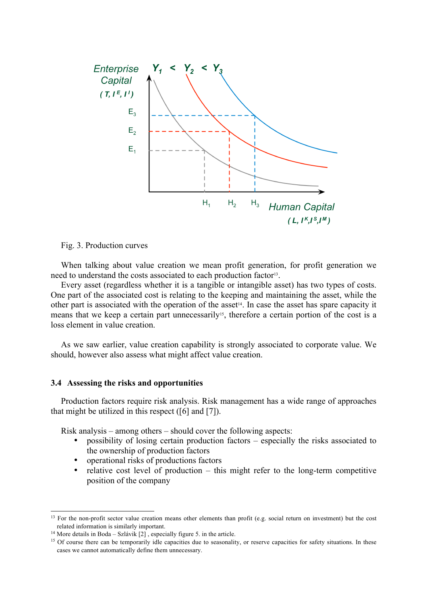

Fig. 3. Production curves

When talking about value creation we mean profit generation, for profit generation we need to understand the costs associated to each production factor<sup>13</sup>.

Every asset (regardless whether it is a tangible or intangible asset) has two types of costs. One part of the associated cost is relating to the keeping and maintaining the asset, while the other part is associated with the operation of the asset14. In case the asset has spare capacity it means that we keep a certain part unnecessarily<sup>15</sup>, therefore a certain portion of the cost is a loss element in value creation.

As we saw earlier, value creation capability is strongly associated to corporate value. We should, however also assess what might affect value creation.

## **3.4 Assessing the risks and opportunities**

Production factors require risk analysis. Risk management has a wide range of approaches that might be utilized in this respect ([6] and [7]).

Risk analysis – among others – should cover the following aspects:

- possibility of losing certain production factors especially the risks associated to the ownership of production factors
- operational risks of productions factors
- relative cost level of production this might refer to the long-term competitive position of the company

 $13$  For the non-profit sector value creation means other elements than profit (e.g. social return on investment) but the cost related information is similarly important.

<sup>&</sup>lt;sup>14</sup> More details in Boda – Szlávik  $[2]$ , especially figure 5. in the article.

<sup>&</sup>lt;sup>15</sup> Of course there can be temporarily idle capacities due to seasonality, or reserve capacities for safety situations. In these cases we cannot automatically define them unnecessary.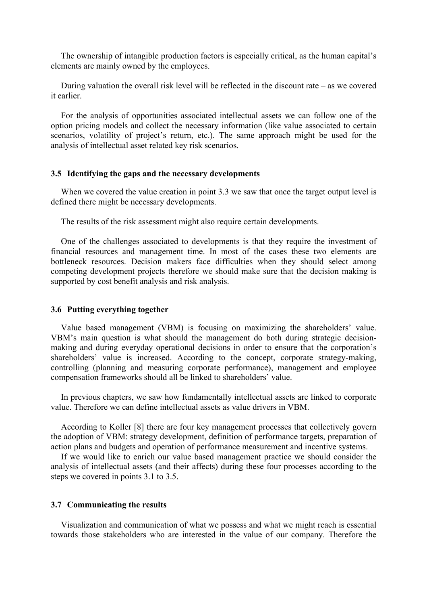The ownership of intangible production factors is especially critical, as the human capital's elements are mainly owned by the employees.

During valuation the overall risk level will be reflected in the discount rate – as we covered it earlier.

For the analysis of opportunities associated intellectual assets we can follow one of the option pricing models and collect the necessary information (like value associated to certain scenarios, volatility of project's return, etc.). The same approach might be used for the analysis of intellectual asset related key risk scenarios.

### **3.5 Identifying the gaps and the necessary developments**

When we covered the value creation in point 3.3 we saw that once the target output level is defined there might be necessary developments.

The results of the risk assessment might also require certain developments.

One of the challenges associated to developments is that they require the investment of financial resources and management time. In most of the cases these two elements are bottleneck resources. Decision makers face difficulties when they should select among competing development projects therefore we should make sure that the decision making is supported by cost benefit analysis and risk analysis.

#### **3.6 Putting everything together**

Value based management (VBM) is focusing on maximizing the shareholders' value. VBM's main question is what should the management do both during strategic decisionmaking and during everyday operational decisions in order to ensure that the corporation's shareholders' value is increased. According to the concept, corporate strategy-making, controlling (planning and measuring corporate performance), management and employee compensation frameworks should all be linked to shareholders' value.

In previous chapters, we saw how fundamentally intellectual assets are linked to corporate value. Therefore we can define intellectual assets as value drivers in VBM.

According to Koller [8] there are four key management processes that collectively govern the adoption of VBM: strategy development, definition of performance targets, preparation of action plans and budgets and operation of performance measurement and incentive systems.

If we would like to enrich our value based management practice we should consider the analysis of intellectual assets (and their affects) during these four processes according to the steps we covered in points 3.1 to 3.5.

#### **3.7 Communicating the results**

Visualization and communication of what we possess and what we might reach is essential towards those stakeholders who are interested in the value of our company. Therefore the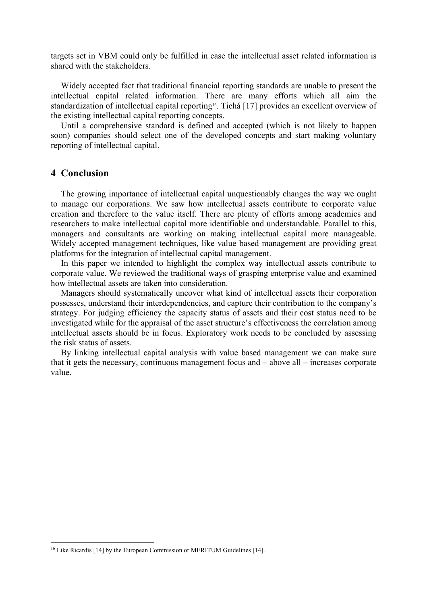targets set in VBM could only be fulfilled in case the intellectual asset related information is shared with the stakeholders.

Widely accepted fact that traditional financial reporting standards are unable to present the intellectual capital related information. There are many efforts which all aim the standardization of intellectual capital reporting<sup>16</sup>. Tichá [17] provides an excellent overview of the existing intellectual capital reporting concepts.

Until a comprehensive standard is defined and accepted (which is not likely to happen soon) companies should select one of the developed concepts and start making voluntary reporting of intellectual capital.

# **4 Conclusion**

The growing importance of intellectual capital unquestionably changes the way we ought to manage our corporations. We saw how intellectual assets contribute to corporate value creation and therefore to the value itself. There are plenty of efforts among academics and researchers to make intellectual capital more identifiable and understandable. Parallel to this, managers and consultants are working on making intellectual capital more manageable. Widely accepted management techniques, like value based management are providing great platforms for the integration of intellectual capital management.

In this paper we intended to highlight the complex way intellectual assets contribute to corporate value. We reviewed the traditional ways of grasping enterprise value and examined how intellectual assets are taken into consideration.

Managers should systematically uncover what kind of intellectual assets their corporation possesses, understand their interdependencies, and capture their contribution to the company's strategy. For judging efficiency the capacity status of assets and their cost status need to be investigated while for the appraisal of the asset structure's effectiveness the correlation among intellectual assets should be in focus. Exploratory work needs to be concluded by assessing the risk status of assets.

By linking intellectual capital analysis with value based management we can make sure that it gets the necessary, continuous management focus and – above all – increases corporate value.

<sup>&</sup>lt;sup>16</sup> Like Ricardis [14] by the European Commission or MERITUM Guidelines [14].